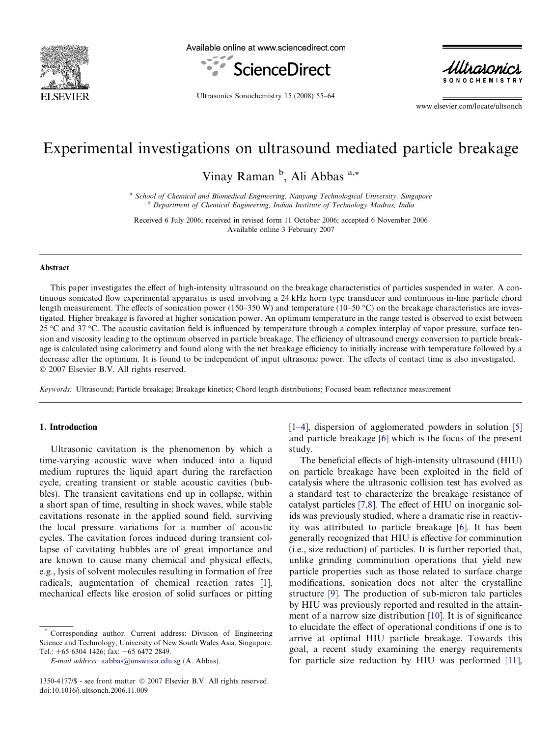

Available online at www.sciencedirect.com





Ultrasonics Sonochemistry 15 (2008) 55–64

www.elsevier.com/locate/ultsonch

# Experimental investigations on ultrasound mediated particle breakage

Vinay Raman<sup>b</sup>, Ali Abbas<sup>a,\*</sup>

<sup>a</sup> School of Chemical and Biomedical Engineering, Nanyang Technological University, Singapore **b** Department of Chemical Engineering, Indian Institute of Technology Madras, India

Received 6 July 2006; received in revised form 11 October 2006; accepted 6 November 2006 Available online 3 February 2007

#### Abstract

This paper investigates the effect of high-intensity ultrasound on the breakage characteristics of particles suspended in water. A continuous sonicated flow experimental apparatus is used involving a 24 kHz horn type transducer and continuous in-line particle chord length measurement. The effects of sonication power (150–350 W) and temperature (10–50 °C) on the breakage characteristics are investigated. Higher breakage is favored at higher sonication power. An optimum temperature in the range tested is observed to exist between 25 °C and 37 °C. The acoustic cavitation field is influenced by temperature through a complex interplay of vapor pressure, surface tension and viscosity leading to the optimum observed in particle breakage. The efficiency of ultrasound energy conversion to particle breakage is calculated using calorimetry and found along with the net breakage efficiency to initially increase with temperature followed by a decrease after the optimum. It is found to be independent of input ultrasonic power. The effects of contact time is also investigated. 2007 Elsevier B.V. All rights reserved.

Keywords: Ultrasound; Particle breakage; Breakage kinetics; Chord length distributions; Focused beam reflectance measurement

# 1. Introduction

Ultrasonic cavitation is the phenomenon by which a time-varying acoustic wave when induced into a liquid medium ruptures the liquid apart during the rarefaction cycle, creating transient or stable acoustic cavities (bubbles). The transient cavitations end up in collapse, within a short span of time, resulting in shock waves, while stable cavitations resonate in the applied sound field, surviving the local pressure variations for a number of acoustic cycles. The cavitation forces induced during transient collapse of cavitating bubbles are of great importance and are known to cause many chemical and physical effects, e.g., lysis of solvent molecules resulting in formation of free radicals, augmentation of chemical reaction rates [1], mechanical effects like erosion of solid surfaces or pitting [1–4], dispersion of agglomerated powders in solution [5] and particle breakage [6] which is the focus of the present study.

The beneficial effects of high-intensity ultrasound (HIU) on particle breakage have been exploited in the field of catalysis where the ultrasonic collision test has evolved as a standard test to characterize the breakage resistance of catalyst particles [7,8]. The effect of HIU on inorganic solids was previously studied, where a dramatic rise in reactivity was attributed to particle breakage [6]. It has been generally recognized that HIU is effective for comminution (i.e., size reduction) of particles. It is further reported that, unlike grinding comminution operations that yield new particle properties such as those related to surface charge modifications, sonication does not alter the crystalline structure [9]. The production of sub-micron talc particles by HIU was previously reported and resulted in the attainment of a narrow size distribution [10]. It is of significance to elucidate the effect of operational conditions if one is to arrive at optimal HIU particle breakage. Towards this goal, a recent study examining the energy requirements for particle size reduction by HIU was performed [11],

Corresponding author. Current address: Division of Engineering Science and Technology, University of New South Wales Asia, Singapore. Tel.: +65 6304 1426; fax: +65 6472 2849.

E-mail address: aabbas@unswasia.edu.sg (A. Abbas).

<sup>1350-4177/\$ -</sup> see front matter 2007 Elsevier B.V. All rights reserved. doi:10.1016/j.ultsonch.2006.11.009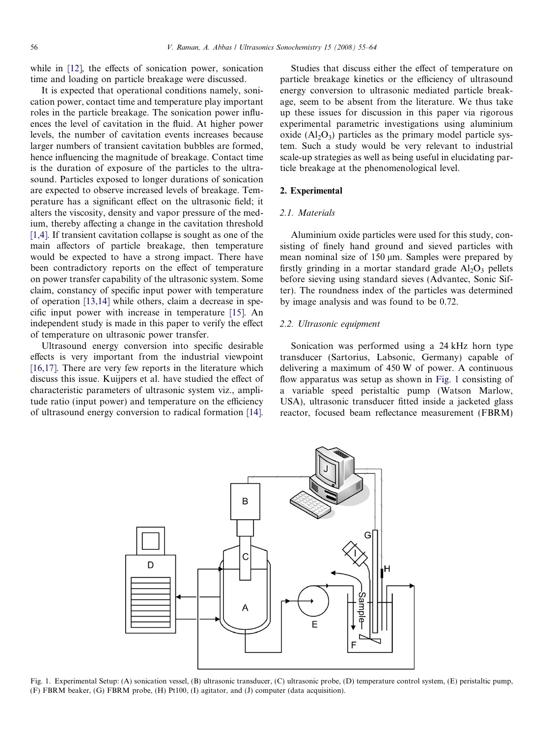while in [12], the effects of sonication power, sonication time and loading on particle breakage were discussed.

It is expected that operational conditions namely, sonication power, contact time and temperature play important roles in the particle breakage. The sonication power influences the level of cavitation in the fluid. At higher power levels, the number of cavitation events increases because larger numbers of transient cavitation bubbles are formed, hence influencing the magnitude of breakage. Contact time is the duration of exposure of the particles to the ultrasound. Particles exposed to longer durations of sonication are expected to observe increased levels of breakage. Temperature has a significant effect on the ultrasonic field; it alters the viscosity, density and vapor pressure of the medium, thereby affecting a change in the cavitation threshold [1,4]. If transient cavitation collapse is sought as one of the main affectors of particle breakage, then temperature would be expected to have a strong impact. There have been contradictory reports on the effect of temperature on power transfer capability of the ultrasonic system. Some claim, constancy of specific input power with temperature of operation [13,14] while others, claim a decrease in specific input power with increase in temperature [15]. An independent study is made in this paper to verify the effect of temperature on ultrasonic power transfer.

Ultrasound energy conversion into specific desirable effects is very important from the industrial viewpoint [16,17]. There are very few reports in the literature which discuss this issue. Kuijpers et al. have studied the effect of characteristic parameters of ultrasonic system viz., amplitude ratio (input power) and temperature on the efficiency of ultrasound energy conversion to radical formation [14].

Studies that discuss either the effect of temperature on particle breakage kinetics or the efficiency of ultrasound energy conversion to ultrasonic mediated particle breakage, seem to be absent from the literature. We thus take up these issues for discussion in this paper via rigorous experimental parametric investigations using aluminium oxide  $(Al<sub>2</sub>O<sub>3</sub>)$  particles as the primary model particle system. Such a study would be very relevant to industrial scale-up strategies as well as being useful in elucidating particle breakage at the phenomenological level.

## 2. Experimental

# 2.1. Materials

Aluminium oxide particles were used for this study, consisting of finely hand ground and sieved particles with mean nominal size of 150  $\mu$ m. Samples were prepared by firstly grinding in a mortar standard grade  $Al_2O_3$  pellets before sieving using standard sieves (Advantec, Sonic Sifter). The roundness index of the particles was determined by image analysis and was found to be 0.72.

# 2.2. Ultrasonic equipment

Sonication was performed using a 24 kHz horn type transducer (Sartorius, Labsonic, Germany) capable of delivering a maximum of 450 W of power. A continuous flow apparatus was setup as shown in Fig. 1 consisting of a variable speed peristaltic pump (Watson Marlow, USA), ultrasonic transducer fitted inside a jacketed glass reactor, focused beam reflectance measurement (FBRM)



Fig. 1. Experimental Setup: (A) sonication vessel, (B) ultrasonic transducer, (C) ultrasonic probe, (D) temperature control system, (E) peristaltic pump, (F) FBRM beaker, (G) FBRM probe, (H) Pt100, (I) agitator, and (J) computer (data acquisition).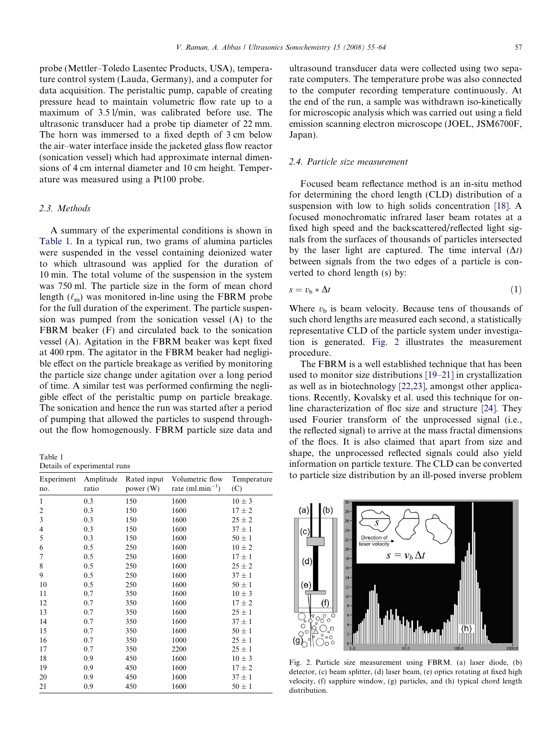probe (Mettler–Toledo Lasentec Products, USA), temperature control system (Lauda, Germany), and a computer for data acquisition. The peristaltic pump, capable of creating pressure head to maintain volumetric flow rate up to a maximum of 3.5 l/min, was calibrated before use. The ultrasonic transducer had a probe tip diameter of 22 mm. The horn was immersed to a fixed depth of 3 cm below the air–water interface inside the jacketed glass flow reactor (sonication vessel) which had approximate internal dimensions of 4 cm internal diameter and 10 cm height. Temperature was measured using a Pt100 probe.

# 2.3. Methods

A summary of the experimental conditions is shown in Table 1. In a typical run, two grams of alumina particles were suspended in the vessel containing deionized water to which ultrasound was applied for the duration of 10 min. The total volume of the suspension in the system was 750 ml. The particle size in the form of mean chord length  $(\ell_m)$  was monitored in-line using the FBRM probe for the full duration of the experiment. The particle suspension was pumped from the sonication vessel (A) to the FBRM beaker (F) and circulated back to the sonication vessel (A). Agitation in the FBRM beaker was kept fixed at 400 rpm. The agitator in the FBRM beaker had negligible effect on the particle breakage as verified by monitoring the particle size change under agitation over a long period of time. A similar test was performed confirming the negligible effect of the peristaltic pump on particle breakage. The sonication and hence the run was started after a period of pumping that allowed the particles to suspend throughout the flow homogenously. FBRM particle size data and

Table 1 Details of experimental runs

| Experiment<br>no. | Amplitude<br>ratio | Rated input<br>power (W) | Volumetric flow<br>rate $(ml.min^{-1})$ | Temperature<br>(C) |
|-------------------|--------------------|--------------------------|-----------------------------------------|--------------------|
| 1                 | 0.3                | 150                      | 1600                                    | $10 \pm 3$         |
| $\overline{c}$    | 0.3                | 150                      | 1600                                    | $17 \pm 2$         |
| 3                 | 0.3                | 150                      | 1600                                    | $25 \pm 2$         |
| 4                 | 0.3                | 150                      | 1600                                    | $37 \pm 1$         |
| 5                 | 0.3                | 150                      | 1600                                    | $50 \pm 1$         |
| 6                 | 0.5                | 250                      | 1600                                    | $10 \pm 2$         |
| 7                 | 0.5                | 250                      | 1600                                    | $17 \pm 1$         |
| 8                 | 0.5                | 250                      | 1600                                    | $25 \pm 2$         |
| 9                 | 0.5                | 250                      | 1600                                    | $37 \pm 1$         |
| 10                | 0.5                | 250                      | 1600                                    | $50 \pm 1$         |
| 11                | 0.7                | 350                      | 1600                                    | $10 \pm 3$         |
| 12                | 0.7                | 350                      | 1600                                    | $17 \pm 2$         |
| 13                | 0.7                | 350                      | 1600                                    | $25 \pm 1$         |
| 14                | 0.7                | 350                      | 1600                                    | $37 \pm 1$         |
| 15                | 0.7                | 350                      | 1600                                    | $50 \pm 1$         |
| 16                | 0.7                | 350                      | 1000                                    | $25 \pm 1$         |
| 17                | 0.7                | 350                      | 2200                                    | $25 \pm 1$         |
| 18                | 0.9                | 450                      | 1600                                    | $10 \pm 3$         |
| 19                | 0.9                | 450                      | 1600                                    | $17 \pm 2$         |
| 20                | 0.9                | 450                      | 1600                                    | $37 \pm 1$         |
| 21                | 0.9                | 450                      | 1600                                    | $50 \pm 1$         |

ultrasound transducer data were collected using two separate computers. The temperature probe was also connected to the computer recording temperature continuously. At the end of the run, a sample was withdrawn iso-kinetically for microscopic analysis which was carried out using a field emission scanning electron microscope (JOEL, JSM6700F, Japan).

## 2.4. Particle size measurement

Focused beam reflectance method is an in-situ method for determining the chord length (CLD) distribution of a suspension with low to high solids concentration [18]. A focused monochromatic infrared laser beam rotates at a fixed high speed and the backscattered/reflected light signals from the surfaces of thousands of particles intersected by the laser light are captured. The time interval  $(\Delta t)$ between signals from the two edges of a particle is converted to chord length (s) by:

$$
s = v_{\rm b} * \Delta t \tag{1}
$$

Where  $v<sub>b</sub>$  is beam velocity. Because tens of thousands of such chord lengths are measured each second, a statistically representative CLD of the particle system under investigation is generated. Fig. 2 illustrates the measurement procedure.

The FBRM is a well established technique that has been used to monitor size distributions [19–21] in crystallization as well as in biotechnology [22,23], amongst other applications. Recently, Kovalsky et al. used this technique for online characterization of floc size and structure [24]. They used Fourier transform of the unprocessed signal (i.e., the reflected signal) to arrive at the mass fractal dimensions of the flocs. It is also claimed that apart from size and shape, the unprocessed reflected signals could also yield information on particle texture. The CLD can be converted to particle size distribution by an ill-posed inverse problem



Fig. 2. Particle size measurement using FBRM. (a) laser diode, (b) detector, (c) beam splitter, (d) laser beam, (e) optics rotating at fixed high velocity, (f) sapphire window, (g) particles, and (h) typical chord length distribution.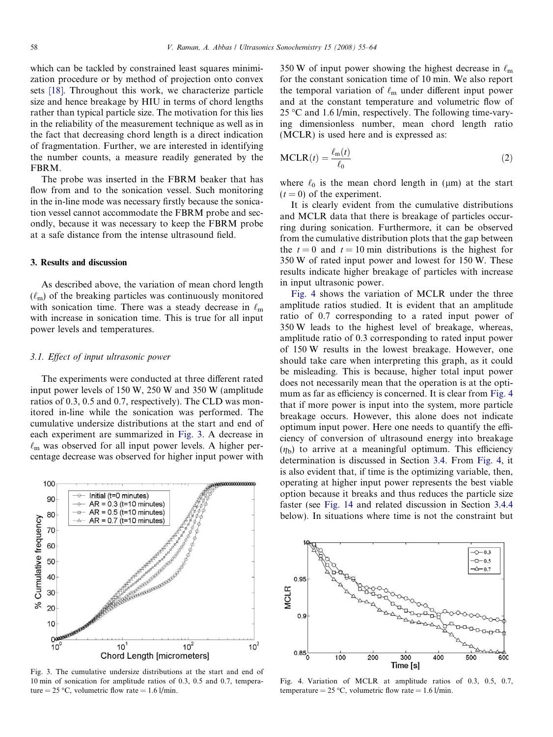which can be tackled by constrained least squares minimization procedure or by method of projection onto convex sets [18]. Throughout this work, we characterize particle size and hence breakage by HIU in terms of chord lengths rather than typical particle size. The motivation for this lies in the reliability of the measurement technique as well as in the fact that decreasing chord length is a direct indication of fragmentation. Further, we are interested in identifying the number counts, a measure readily generated by the FBRM.

The probe was inserted in the FBRM beaker that has flow from and to the sonication vessel. Such monitoring in the in-line mode was necessary firstly because the sonication vessel cannot accommodate the FBRM probe and secondly, because it was necessary to keep the FBRM probe at a safe distance from the intense ultrasound field.

## 3. Results and discussion

As described above, the variation of mean chord length  $(\ell_m)$  of the breaking particles was continuously monitored with sonication time. There was a steady decrease in  $\ell_m$ with increase in sonication time. This is true for all input power levels and temperatures.

## 3.1. Effect of input ultrasonic power

The experiments were conducted at three different rated input power levels of 150 W, 250 W and 350 W (amplitude ratios of 0.3, 0.5 and 0.7, respectively). The CLD was monitored in-line while the sonication was performed. The cumulative undersize distributions at the start and end of each experiment are summarized in Fig. 3. A decrease in  $\ell_{\rm m}$  was observed for all input power levels. A higher percentage decrease was observed for higher input power with



Fig. 3. The cumulative undersize distributions at the start and end of 10 min of sonication for amplitude ratios of 0.3, 0.5 and 0.7, temperature =  $25 \degree C$ , volumetric flow rate = 1.6 l/min.

350 W of input power showing the highest decrease in  $\ell_{\rm m}$ for the constant sonication time of 10 min. We also report the temporal variation of  $\ell_m$  under different input power and at the constant temperature and volumetric flow of 25 °C and 1.6 l/min, respectively. The following time-varying dimensionless number, mean chord length ratio (MCLR) is used here and is expressed as:

$$
MCLR(t) = \frac{\ell_m(t)}{\ell_0}
$$
 (2)

where  $\ell_0$  is the mean chord length in ( $\mu$ m) at the start  $(t = 0)$  of the experiment.

It is clearly evident from the cumulative distributions and MCLR data that there is breakage of particles occurring during sonication. Furthermore, it can be observed from the cumulative distribution plots that the gap between the  $t = 0$  and  $t = 10$  min distributions is the highest for 350 W of rated input power and lowest for 150 W. These results indicate higher breakage of particles with increase in input ultrasonic power.

Fig. 4 shows the variation of MCLR under the three amplitude ratios studied. It is evident that an amplitude ratio of 0.7 corresponding to a rated input power of 350 W leads to the highest level of breakage, whereas, amplitude ratio of 0.3 corresponding to rated input power of 150 W results in the lowest breakage. However, one should take care when interpreting this graph, as it could be misleading. This is because, higher total input power does not necessarily mean that the operation is at the optimum as far as efficiency is concerned. It is clear from Fig. 4 that if more power is input into the system, more particle breakage occurs. However, this alone does not indicate optimum input power. Here one needs to quantify the efficiency of conversion of ultrasound energy into breakage  $(\eta_b)$  to arrive at a meaningful optimum. This efficiency determination is discussed in Section 3.4. From Fig. 4, it is also evident that, if time is the optimizing variable, then, operating at higher input power represents the best viable option because it breaks and thus reduces the particle size faster (see Fig. 14 and related discussion in Section 3.4.4 below). In situations where time is not the constraint but



Fig. 4. Variation of MCLR at amplitude ratios of 0.3, 0.5, 0.7, temperature =  $25 °C$ , volumetric flow rate = 1.6 l/min.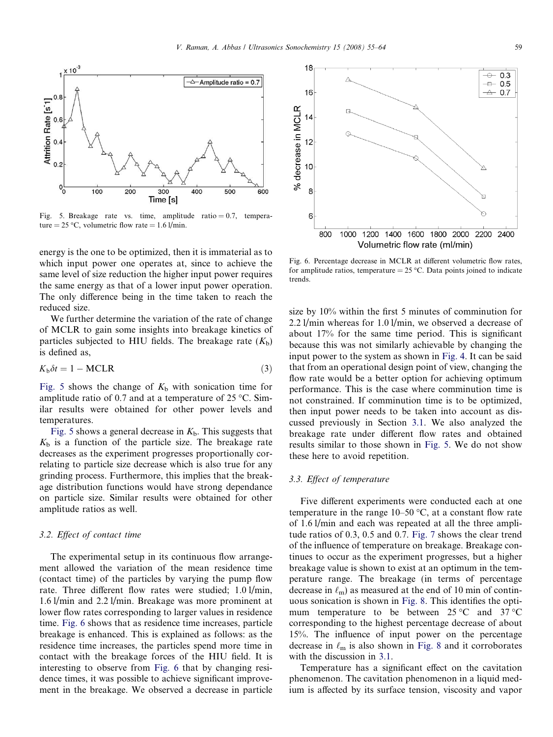

Fig. 5. Breakage rate vs. time, amplitude ratio  $= 0.7$ , temperature =  $25 \text{ °C}$ , volumetric flow rate =  $1.6 \frac{\text{I}}{\text{min}}$ .

energy is the one to be optimized, then it is immaterial as to which input power one operates at, since to achieve the same level of size reduction the higher input power requires the same energy as that of a lower input power operation. The only difference being in the time taken to reach the reduced size.

We further determine the variation of the rate of change of MCLR to gain some insights into breakage kinetics of particles subjected to HIU fields. The breakage rate  $(K_b)$ is defined as,

$$
K_{\rm b}\delta t = 1 - \text{MCLR} \tag{3}
$$

Fig. 5 shows the change of  $K_b$  with sonication time for amplitude ratio of 0.7 and at a temperature of  $25^{\circ}$ C. Similar results were obtained for other power levels and temperatures.

Fig. 5 shows a general decrease in  $K_b$ . This suggests that  $K<sub>b</sub>$  is a function of the particle size. The breakage rate decreases as the experiment progresses proportionally correlating to particle size decrease which is also true for any grinding process. Furthermore, this implies that the breakage distribution functions would have strong dependance on particle size. Similar results were obtained for other amplitude ratios as well.

## 3.2. Effect of contact time

The experimental setup in its continuous flow arrangement allowed the variation of the mean residence time (contact time) of the particles by varying the pump flow rate. Three different flow rates were studied; 1.0 l/min, 1.6 l/min and 2.2 l/min. Breakage was more prominent at lower flow rates corresponding to larger values in residence time. Fig. 6 shows that as residence time increases, particle breakage is enhanced. This is explained as follows: as the residence time increases, the particles spend more time in contact with the breakage forces of the HIU field. It is interesting to observe from Fig. 6 that by changing residence times, it was possible to achieve significant improvement in the breakage. We observed a decrease in particle



Fig. 6. Percentage decrease in MCLR at different volumetric flow rates, for amplitude ratios, temperature =  $25 \degree C$ . Data points joined to indicate trends.

size by 10% within the first 5 minutes of comminution for 2.2 l/min whereas for 1.0 l/min, we observed a decrease of about 17% for the same time period. This is significant because this was not similarly achievable by changing the input power to the system as shown in Fig. 4. It can be said that from an operational design point of view, changing the flow rate would be a better option for achieving optimum performance. This is the case where comminution time is not constrained. If comminution time is to be optimized, then input power needs to be taken into account as discussed previously in Section 3.1. We also analyzed the breakage rate under different flow rates and obtained results similar to those shown in Fig. 5. We do not show these here to avoid repetition.

# 3.3. Effect of temperature

Five different experiments were conducted each at one temperature in the range  $10-50$  °C, at a constant flow rate of 1.6 l/min and each was repeated at all the three amplitude ratios of 0.3, 0.5 and 0.7. Fig. 7 shows the clear trend of the influence of temperature on breakage. Breakage continues to occur as the experiment progresses, but a higher breakage value is shown to exist at an optimum in the temperature range. The breakage (in terms of percentage decrease in  $\ell_m$ ) as measured at the end of 10 min of continuous sonication is shown in Fig. 8. This identifies the optimum temperature to be between  $25^{\circ}$ C and  $37^{\circ}$ C corresponding to the highest percentage decrease of about 15%. The influence of input power on the percentage decrease in  $\ell_{\rm m}$  is also shown in Fig. 8 and it corroborates with the discussion in 3.1.

Temperature has a significant effect on the cavitation phenomenon. The cavitation phenomenon in a liquid medium is affected by its surface tension, viscosity and vapor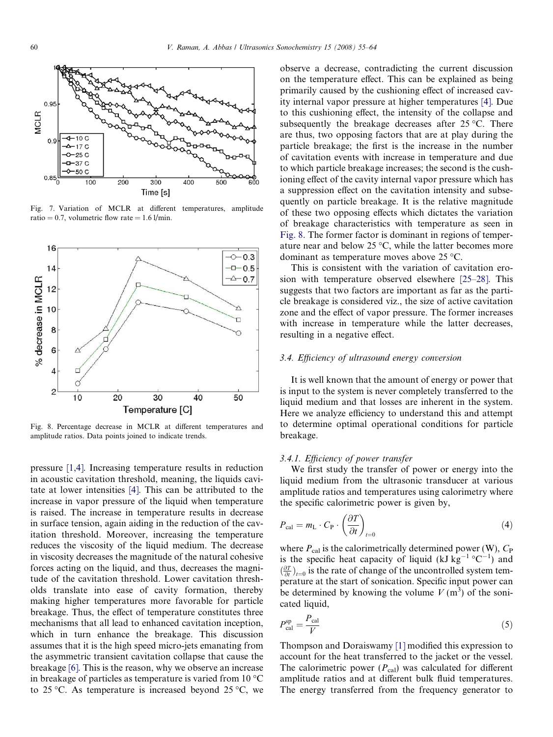

Fig. 7. Variation of MCLR at different temperatures, amplitude ratio = 0.7, volumetric flow rate =  $1.6$  l/min.



Fig. 8. Percentage decrease in MCLR at different temperatures and amplitude ratios. Data points joined to indicate trends.

pressure [1,4]. Increasing temperature results in reduction in acoustic cavitation threshold, meaning, the liquids cavitate at lower intensities [4]. This can be attributed to the increase in vapor pressure of the liquid when temperature is raised. The increase in temperature results in decrease in surface tension, again aiding in the reduction of the cavitation threshold. Moreover, increasing the temperature reduces the viscosity of the liquid medium. The decrease in viscosity decreases the magnitude of the natural cohesive forces acting on the liquid, and thus, decreases the magnitude of the cavitation threshold. Lower cavitation thresholds translate into ease of cavity formation, thereby making higher temperatures more favorable for particle breakage. Thus, the effect of temperature constitutes three mechanisms that all lead to enhanced cavitation inception, which in turn enhance the breakage. This discussion assumes that it is the high speed micro-jets emanating from the asymmetric transient cavitation collapse that cause the breakage [6]. This is the reason, why we observe an increase in breakage of particles as temperature is varied from 10  $^{\circ}$ C to 25 °C. As temperature is increased beyond 25 °C, we

observe a decrease, contradicting the current discussion on the temperature effect. This can be explained as being primarily caused by the cushioning effect of increased cavity internal vapor pressure at higher temperatures [4]. Due to this cushioning effect, the intensity of the collapse and subsequently the breakage decreases after  $25^{\circ}$ C. There are thus, two opposing factors that are at play during the particle breakage; the first is the increase in the number of cavitation events with increase in temperature and due to which particle breakage increases; the second is the cushioning effect of the cavity internal vapor pressure which has a suppression effect on the cavitation intensity and subsequently on particle breakage. It is the relative magnitude of these two opposing effects which dictates the variation of breakage characteristics with temperature as seen in Fig. 8. The former factor is dominant in regions of temperature near and below  $25^{\circ}$ C, while the latter becomes more dominant as temperature moves above 25 °C.

This is consistent with the variation of cavitation erosion with temperature observed elsewhere [25–28]. This suggests that two factors are important as far as the particle breakage is considered viz., the size of active cavitation zone and the effect of vapor pressure. The former increases with increase in temperature while the latter decreases, resulting in a negative effect.

#### 3.4. Efficiency of ultrasound energy conversion

It is well known that the amount of energy or power that is input to the system is never completely transferred to the liquid medium and that losses are inherent in the system. Here we analyze efficiency to understand this and attempt to determine optimal operational conditions for particle breakage.

# 3.4.1. Efficiency of power transfer

We first study the transfer of power or energy into the liquid medium from the ultrasonic transducer at various amplitude ratios and temperatures using calorimetry where the specific calorimetric power is given by,

$$
P_{\text{cal}} = m_{\text{L}} \cdot C_{\text{P}} \cdot \left(\frac{\partial T}{\partial t}\right)_{t=0} \tag{4}
$$

where  $P_{\text{cal}}$  is the calorimetrically determined power (W),  $C_{\text{P}}$ is the specific heat capacity of liquid (kJ  $\text{kg}^{-1}$  °C<sup>-1</sup>) and  $\left(\frac{\partial T}{\partial t}\right)_{t=0}$  is the rate of change of the uncontrolled system temperature at the start of sonication. Specific input power can be determined by knowing the volume  $V(m^3)$  of the sonicated liquid,

$$
P_{\rm cal}^{\rm sp} = \frac{P_{\rm cal}}{V} \tag{5}
$$

Thompson and Doraiswamy [1] modified this expression to account for the heat transferred to the jacket or the vessel. The calorimetric power  $(P_{cal})$  was calculated for different amplitude ratios and at different bulk fluid temperatures. The energy transferred from the frequency generator to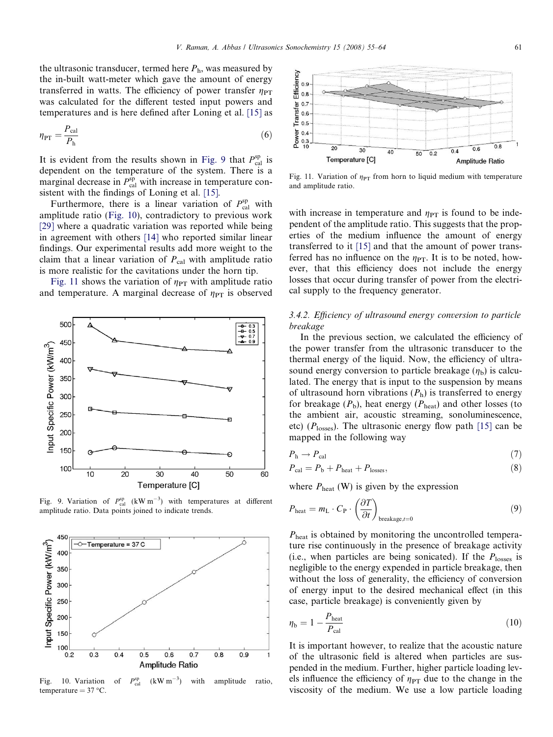the ultrasonic transducer, termed here  $P<sub>h</sub>$ , was measured by the in-built watt-meter which gave the amount of energy transferred in watts. The efficiency of power transfer  $\eta_{PT}$ was calculated for the different tested input powers and temperatures and is here defined after Loning et al. [15] as

$$
\eta_{\rm PT} = \frac{P_{\rm cal}}{P_{\rm h}}\tag{6}
$$

It is evident from the results shown in Fig. 9 that  $P_{\text{cal}}^{\text{sp}}$  is dependent on the temperature of the system. There is a marginal decrease in  $P_{\text{cal}}^{\text{sp}}$  with increase in temperature consistent with the findings of Loning et al. [15].

Furthermore, there is a linear variation of  $P_{\text{cal}}^{\text{sp}}$  with amplitude ratio (Fig. 10), contradictory to previous work [29] where a quadratic variation was reported while being in agreement with others [14] who reported similar linear findings. Our experimental results add more weight to the claim that a linear variation of  $P_{\text{cal}}$  with amplitude ratio is more realistic for the cavitations under the horn tip.

Fig. 11 shows the variation of  $\eta_{PT}$  with amplitude ratio and temperature. A marginal decrease of  $\eta_{PT}$  is observed



Fig. 9. Variation of  $P_{\text{cal}}^{\text{sp}}$  (kW m<sup>-3</sup>) with temperatures at different amplitude ratio. Data points joined to indicate trends.



Fig. 10. Variation of  $P_{\rm cal}^{\rm sp}$  $(kW m^{-3})$ ) with amplitude ratio,  $temperature = 37 °C$ .



Fig. 11. Variation of  $\eta_{PT}$  from horn to liquid medium with temperature and amplitude ratio.

with increase in temperature and  $\eta_{PT}$  is found to be independent of the amplitude ratio. This suggests that the properties of the medium influence the amount of energy transferred to it [15] and that the amount of power transferred has no influence on the  $\eta_{PT}$ . It is to be noted, however, that this efficiency does not include the energy losses that occur during transfer of power from the electrical supply to the frequency generator.

# 3.4.2. Efficiency of ultrasound energy conversion to particle breakage

In the previous section, we calculated the efficiency of the power transfer from the ultrasonic transducer to the thermal energy of the liquid. Now, the efficiency of ultrasound energy conversion to particle breakage  $(\eta_b)$  is calculated. The energy that is input to the suspension by means of ultrasound horn vibrations  $(P_h)$  is transferred to energy for breakage  $(P_b)$ , heat energy  $(P_{\text{heat}})$  and other losses (to the ambient air, acoustic streaming, sonoluminescence, etc) ( $P<sub>losses</sub>$ ). The ultrasonic energy flow path [15] can be mapped in the following way

$$
P_{\rm h} \to P_{\rm cal} \tag{7}
$$

$$
P_{\text{cal}} = P_{\text{b}} + P_{\text{heat}} + P_{\text{losses}},\tag{8}
$$

where  $P_{\text{heat}}$  (W) is given by the expression

$$
P_{\text{heat}} = m_{\text{L}} \cdot C_{\text{P}} \cdot \left(\frac{\partial T}{\partial t}\right)_{\text{breakage}, t=0} \tag{9}
$$

 $P_{\text{heat}}$  is obtained by monitoring the uncontrolled temperature rise continuously in the presence of breakage activity (i.e., when particles are being sonicated). If the  $P<sub>losses</sub>$  is negligible to the energy expended in particle breakage, then without the loss of generality, the efficiency of conversion of energy input to the desired mechanical effect (in this case, particle breakage) is conveniently given by

$$
\eta_{\rm b} = 1 - \frac{P_{\rm heat}}{P_{\rm cal}}\tag{10}
$$

It is important however, to realize that the acoustic nature of the ultrasonic field is altered when particles are suspended in the medium. Further, higher particle loading levels influence the efficiency of  $\eta_{PT}$  due to the change in the viscosity of the medium. We use a low particle loading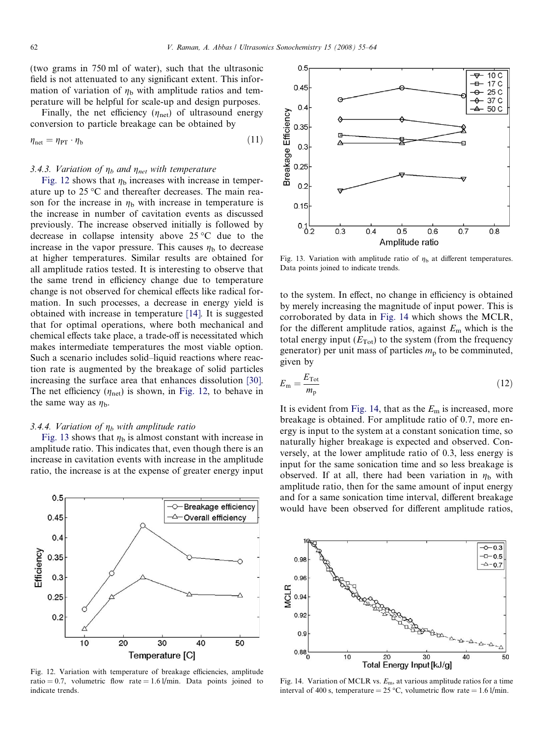(two grams in 750 ml of water), such that the ultrasonic field is not attenuated to any significant extent. This information of variation of  $\eta_b$  with amplitude ratios and temperature will be helpful for scale-up and design purposes.

Finally, the net efficiency  $(\eta_{net})$  of ultrasound energy conversion to particle breakage can be obtained by

$$
\eta_{\text{net}} = \eta_{\text{PT}} \cdot \eta_{\text{b}} \tag{11}
$$

# 3.4.3. Variation of  $\eta_b$  and  $\eta_{net}$  with temperature

Fig. 12 shows that  $\eta_b$  increases with increase in temperature up to  $25^{\circ}$ C and thereafter decreases. The main reason for the increase in  $\eta_b$  with increase in temperature is the increase in number of cavitation events as discussed previously. The increase observed initially is followed by decrease in collapse intensity above  $25^{\circ}$ C due to the increase in the vapor pressure. This causes  $\eta_{\rm b}$  to decrease at higher temperatures. Similar results are obtained for all amplitude ratios tested. It is interesting to observe that the same trend in efficiency change due to temperature change is not observed for chemical effects like radical formation. In such processes, a decrease in energy yield is obtained with increase in temperature [14]. It is suggested that for optimal operations, where both mechanical and chemical effects take place, a trade-off is necessitated which makes intermediate temperatures the most viable option. Such a scenario includes solid–liquid reactions where reaction rate is augmented by the breakage of solid particles increasing the surface area that enhances dissolution [30]. The net efficiency  $(\eta_{\text{net}})$  is shown, in Fig. 12, to behave in the same way as  $\eta_{\rm b}$ .

#### 3.4.4. Variation of  $\eta_b$  with amplitude ratio

Fig. 13 shows that  $\eta_b$  is almost constant with increase in amplitude ratio. This indicates that, even though there is an increase in cavitation events with increase in the amplitude ratio, the increase is at the expense of greater energy input



Fig. 12. Variation with temperature of breakage efficiencies, amplitude ratio = 0.7, volumetric flow rate = 1.6 l/min. Data points joined to indicate trends.



Fig. 13. Variation with amplitude ratio of  $\eta_{\rm b}$  at different temperatures. Data points joined to indicate trends.

to the system. In effect, no change in efficiency is obtained by merely increasing the magnitude of input power. This is corroborated by data in Fig. 14 which shows the MCLR, for the different amplitude ratios, against  $E<sub>m</sub>$  which is the total energy input  $(E_{\text{Tot}})$  to the system (from the frequency generator) per unit mass of particles  $m_p$  to be comminuted, given by

$$
E_{\rm m} = \frac{E_{\rm Tot}}{m_{\rm p}}\tag{12}
$$

It is evident from Fig. 14, that as the  $E<sub>m</sub>$  is increased, more breakage is obtained. For amplitude ratio of 0.7, more energy is input to the system at a constant sonication time, so naturally higher breakage is expected and observed. Conversely, at the lower amplitude ratio of 0.3, less energy is input for the same sonication time and so less breakage is observed. If at all, there had been variation in  $\eta_b$  with amplitude ratio, then for the same amount of input energy and for a same sonication time interval, different breakage would have been observed for different amplitude ratios,



Fig. 14. Variation of MCLR vs.  $E<sub>m</sub>$ , at various amplitude ratios for a time interval of 400 s, temperature =  $25 °C$ , volumetric flow rate = 1.6 l/min.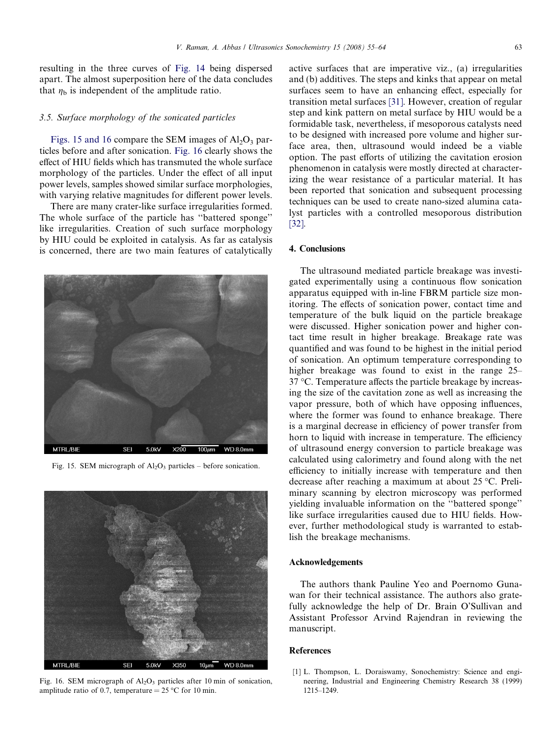resulting in the three curves of Fig. 14 being dispersed apart. The almost superposition here of the data concludes that  $\eta_b$  is independent of the amplitude ratio.

#### 3.5. Surface morphology of the sonicated particles

Figs. 15 and 16 compare the SEM images of  $A<sub>1</sub>O<sub>3</sub>$  particles before and after sonication. Fig. 16 clearly shows the effect of HIU fields which has transmuted the whole surface morphology of the particles. Under the effect of all input power levels, samples showed similar surface morphologies, with varying relative magnitudes for different power levels.

There are many crater-like surface irregularities formed. The whole surface of the particle has ''battered sponge'' like irregularities. Creation of such surface morphology by HIU could be exploited in catalysis. As far as catalysis is concerned, there are two main features of catalytically



Fig. 15. SEM micrograph of  $Al_2O_3$  particles – before sonication.



Fig. 16. SEM micrograph of  $Al_2O_3$  particles after 10 min of sonication, amplitude ratio of 0.7, temperature =  $25^{\circ}$ C for 10 min.

active surfaces that are imperative viz., (a) irregularities and (b) additives. The steps and kinks that appear on metal surfaces seem to have an enhancing effect, especially for transition metal surfaces [31]. However, creation of regular step and kink pattern on metal surface by HIU would be a formidable task, nevertheless, if mesoporous catalysts need to be designed with increased pore volume and higher surface area, then, ultrasound would indeed be a viable option. The past efforts of utilizing the cavitation erosion phenomenon in catalysis were mostly directed at characterizing the wear resistance of a particular material. It has been reported that sonication and subsequent processing techniques can be used to create nano-sized alumina catalyst particles with a controlled mesoporous distribution [32].

# 4. Conclusions

The ultrasound mediated particle breakage was investigated experimentally using a continuous flow sonication apparatus equipped with in-line FBRM particle size monitoring. The effects of sonication power, contact time and temperature of the bulk liquid on the particle breakage were discussed. Higher sonication power and higher contact time result in higher breakage. Breakage rate was quantified and was found to be highest in the initial period of sonication. An optimum temperature corresponding to higher breakage was found to exist in the range 25– 37 °C. Temperature affects the particle breakage by increasing the size of the cavitation zone as well as increasing the vapor pressure, both of which have opposing influences, where the former was found to enhance breakage. There is a marginal decrease in efficiency of power transfer from horn to liquid with increase in temperature. The efficiency of ultrasound energy conversion to particle breakage was calculated using calorimetry and found along with the net efficiency to initially increase with temperature and then decrease after reaching a maximum at about 25 °C. Preliminary scanning by electron microscopy was performed yielding invaluable information on the ''battered sponge'' like surface irregularities caused due to HIU fields. However, further methodological study is warranted to establish the breakage mechanisms.

#### Acknowledgements

The authors thank Pauline Yeo and Poernomo Gunawan for their technical assistance. The authors also gratefully acknowledge the help of Dr. Brain O'Sullivan and Assistant Professor Arvind Rajendran in reviewing the manuscript.

## References

[1] L. Thompson, L. Doraiswamy, Sonochemistry: Science and engineering, Industrial and Engineering Chemistry Research 38 (1999) 1215–1249.